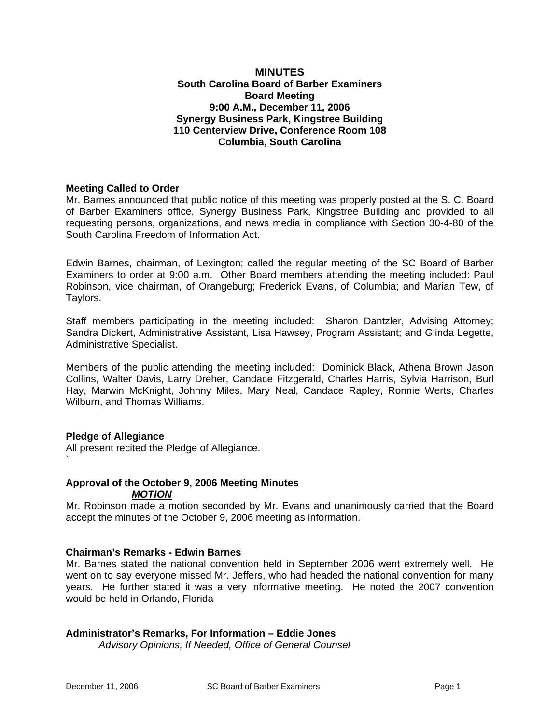#### **MINUTES South Carolina Board of Barber Examiners Board Meeting 9:00 A.M., December 11, 2006 Synergy Business Park, Kingstree Building 110 Centerview Drive, Conference Room 108 Columbia, South Carolina**

## **Meeting Called to Order**

Mr. Barnes announced that public notice of this meeting was properly posted at the S. C. Board of Barber Examiners office, Synergy Business Park, Kingstree Building and provided to all requesting persons, organizations, and news media in compliance with Section 30-4-80 of the South Carolina Freedom of Information Act.

Edwin Barnes, chairman, of Lexington; called the regular meeting of the SC Board of Barber Examiners to order at 9:00 a.m. Other Board members attending the meeting included: Paul Robinson, vice chairman, of Orangeburg; Frederick Evans, of Columbia; and Marian Tew, of Taylors.

Staff members participating in the meeting included: Sharon Dantzler, Advising Attorney; Sandra Dickert, Administrative Assistant, Lisa Hawsey, Program Assistant; and Glinda Legette, Administrative Specialist.

Members of the public attending the meeting included: Dominick Black, Athena Brown Jason Collins, Walter Davis, Larry Dreher, Candace Fitzgerald, Charles Harris, Sylvia Harrison, Burl Hay, Marwin McKnight, Johnny Miles, Mary Neal, Candace Rapley, Ronnie Werts, Charles Wilburn, and Thomas Williams.

#### **Pledge of Allegiance**

`

All present recited the Pledge of Allegiance.

#### **Approval of the October 9, 2006 Meeting Minutes** *MOTION*

Mr. Robinson made a motion seconded by Mr. Evans and unanimously carried that the Board accept the minutes of the October 9, 2006 meeting as information.

#### **Chairman's Remarks - Edwin Barnes**

Mr. Barnes stated the national convention held in September 2006 went extremely well. He went on to say everyone missed Mr. Jeffers, who had headed the national convention for many years. He further stated it was a very informative meeting. He noted the 2007 convention would be held in Orlando, Florida

# **Administrator's Remarks, For Information – Eddie Jones**

*Advisory Opinions, If Needed, Office of General Counsel*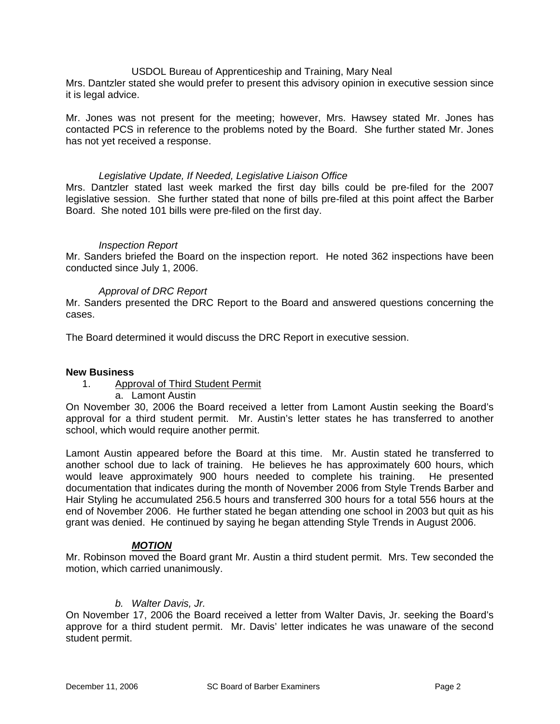USDOL Bureau of Apprenticeship and Training, Mary Neal

Mrs. Dantzler stated she would prefer to present this advisory opinion in executive session since it is legal advice.

Mr. Jones was not present for the meeting; however, Mrs. Hawsey stated Mr. Jones has contacted PCS in reference to the problems noted by the Board. She further stated Mr. Jones has not yet received a response.

#### *Legislative Update, If Needed, Legislative Liaison Office*

Mrs. Dantzler stated last week marked the first day bills could be pre-filed for the 2007 legislative session. She further stated that none of bills pre-filed at this point affect the Barber Board. She noted 101 bills were pre-filed on the first day.

#### *Inspection Report*

Mr. Sanders briefed the Board on the inspection report. He noted 362 inspections have been conducted since July 1, 2006.

#### *Approval of DRC Report*

Mr. Sanders presented the DRC Report to the Board and answered questions concerning the cases.

The Board determined it would discuss the DRC Report in executive session.

#### **New Business**

#### 1. Approval of Third Student Permit

a. Lamont Austin

On November 30, 2006 the Board received a letter from Lamont Austin seeking the Board's approval for a third student permit. Mr. Austin's letter states he has transferred to another school, which would require another permit.

Lamont Austin appeared before the Board at this time. Mr. Austin stated he transferred to another school due to lack of training. He believes he has approximately 600 hours, which would leave approximately 900 hours needed to complete his training. He presented documentation that indicates during the month of November 2006 from Style Trends Barber and Hair Styling he accumulated 256.5 hours and transferred 300 hours for a total 556 hours at the end of November 2006. He further stated he began attending one school in 2003 but quit as his grant was denied. He continued by saying he began attending Style Trends in August 2006.

#### *MOTION*

Mr. Robinson moved the Board grant Mr. Austin a third student permit. Mrs. Tew seconded the motion, which carried unanimously.

#### *b. Walter Davis, Jr.*

On November 17, 2006 the Board received a letter from Walter Davis, Jr. seeking the Board's approve for a third student permit. Mr. Davis' letter indicates he was unaware of the second student permit.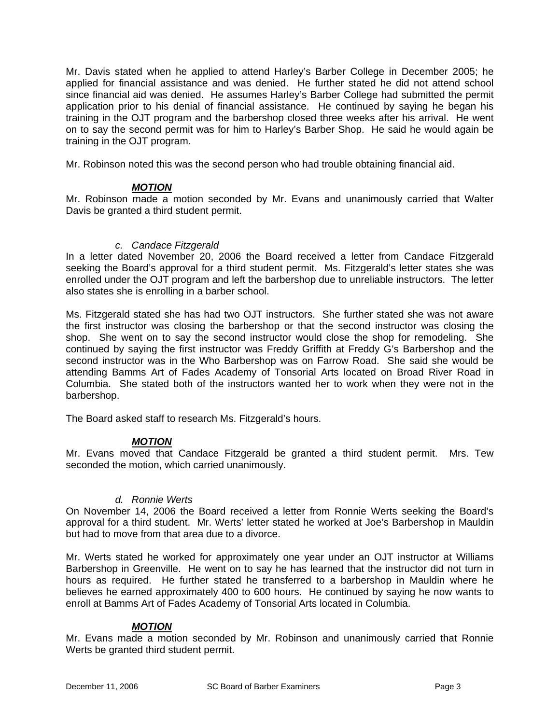Mr. Davis stated when he applied to attend Harley's Barber College in December 2005; he applied for financial assistance and was denied. He further stated he did not attend school since financial aid was denied. He assumes Harley's Barber College had submitted the permit application prior to his denial of financial assistance. He continued by saying he began his training in the OJT program and the barbershop closed three weeks after his arrival. He went on to say the second permit was for him to Harley's Barber Shop. He said he would again be training in the OJT program.

Mr. Robinson noted this was the second person who had trouble obtaining financial aid.

# *MOTION*

Mr. Robinson made a motion seconded by Mr. Evans and unanimously carried that Walter Davis be granted a third student permit.

## *c. Candace Fitzgerald*

In a letter dated November 20, 2006 the Board received a letter from Candace Fitzgerald seeking the Board's approval for a third student permit. Ms. Fitzgerald's letter states she was enrolled under the OJT program and left the barbershop due to unreliable instructors. The letter also states she is enrolling in a barber school.

Ms. Fitzgerald stated she has had two OJT instructors. She further stated she was not aware the first instructor was closing the barbershop or that the second instructor was closing the shop. She went on to say the second instructor would close the shop for remodeling. She continued by saying the first instructor was Freddy Griffith at Freddy G's Barbershop and the second instructor was in the Who Barbershop was on Farrow Road. She said she would be attending Bamms Art of Fades Academy of Tonsorial Arts located on Broad River Road in Columbia. She stated both of the instructors wanted her to work when they were not in the barbershop.

The Board asked staff to research Ms. Fitzgerald's hours.

# *MOTION*

Mr. Evans moved that Candace Fitzgerald be granted a third student permit. Mrs. Tew seconded the motion, which carried unanimously.

#### *d. Ronnie Werts*

On November 14, 2006 the Board received a letter from Ronnie Werts seeking the Board's approval for a third student. Mr. Werts' letter stated he worked at Joe's Barbershop in Mauldin but had to move from that area due to a divorce.

Mr. Werts stated he worked for approximately one year under an OJT instructor at Williams Barbershop in Greenville. He went on to say he has learned that the instructor did not turn in hours as required. He further stated he transferred to a barbershop in Mauldin where he believes he earned approximately 400 to 600 hours. He continued by saying he now wants to enroll at Bamms Art of Fades Academy of Tonsorial Arts located in Columbia.

# *MOTION*

Mr. Evans made a motion seconded by Mr. Robinson and unanimously carried that Ronnie Werts be granted third student permit.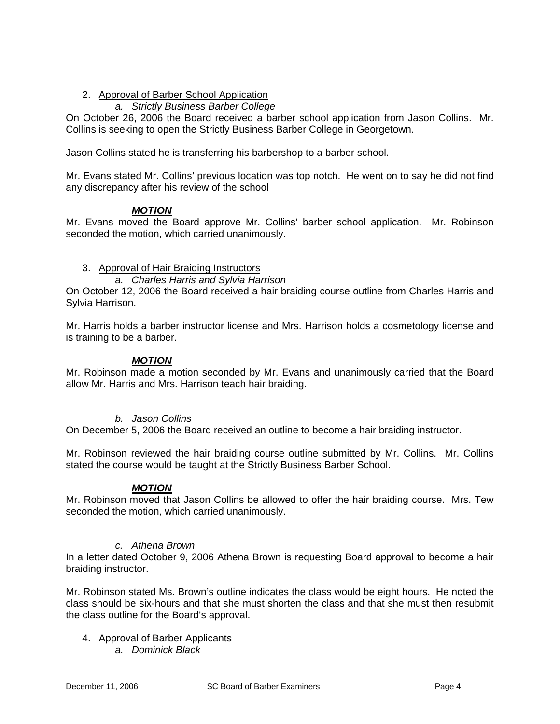# 2. Approval of Barber School Application

# *a. Strictly Business Barber College*

On October 26, 2006 the Board received a barber school application from Jason Collins. Mr. Collins is seeking to open the Strictly Business Barber College in Georgetown.

Jason Collins stated he is transferring his barbershop to a barber school.

Mr. Evans stated Mr. Collins' previous location was top notch. He went on to say he did not find any discrepancy after his review of the school

# *MOTION*

Mr. Evans moved the Board approve Mr. Collins' barber school application. Mr. Robinson seconded the motion, which carried unanimously.

# 3. Approval of Hair Braiding Instructors

## *a. Charles Harris and Sylvia Harrison*

On October 12, 2006 the Board received a hair braiding course outline from Charles Harris and Sylvia Harrison.

Mr. Harris holds a barber instructor license and Mrs. Harrison holds a cosmetology license and is training to be a barber.

#### *MOTION*

Mr. Robinson made a motion seconded by Mr. Evans and unanimously carried that the Board allow Mr. Harris and Mrs. Harrison teach hair braiding.

#### *b. Jason Collins*

On December 5, 2006 the Board received an outline to become a hair braiding instructor.

Mr. Robinson reviewed the hair braiding course outline submitted by Mr. Collins. Mr. Collins stated the course would be taught at the Strictly Business Barber School.

#### *MOTION*

Mr. Robinson moved that Jason Collins be allowed to offer the hair braiding course. Mrs. Tew seconded the motion, which carried unanimously.

#### *c. Athena Brown*

In a letter dated October 9, 2006 Athena Brown is requesting Board approval to become a hair braiding instructor.

Mr. Robinson stated Ms. Brown's outline indicates the class would be eight hours. He noted the class should be six-hours and that she must shorten the class and that she must then resubmit the class outline for the Board's approval.

4. Approval of Barber Applicants

*a. Dominick Black*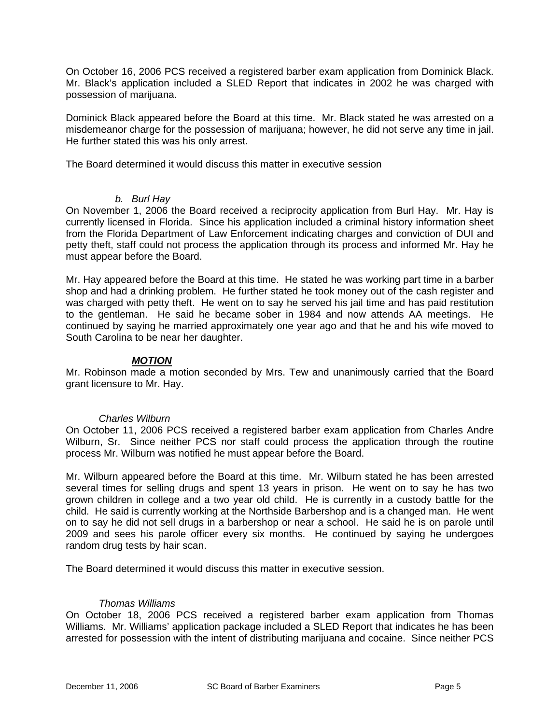On October 16, 2006 PCS received a registered barber exam application from Dominick Black. Mr. Black's application included a SLED Report that indicates in 2002 he was charged with possession of marijuana.

Dominick Black appeared before the Board at this time. Mr. Black stated he was arrested on a misdemeanor charge for the possession of marijuana; however, he did not serve any time in jail. He further stated this was his only arrest.

The Board determined it would discuss this matter in executive session

#### *b. Burl Hay*

On November 1, 2006 the Board received a reciprocity application from Burl Hay. Mr. Hay is currently licensed in Florida. Since his application included a criminal history information sheet from the Florida Department of Law Enforcement indicating charges and conviction of DUI and petty theft, staff could not process the application through its process and informed Mr. Hay he must appear before the Board.

Mr. Hay appeared before the Board at this time. He stated he was working part time in a barber shop and had a drinking problem. He further stated he took money out of the cash register and was charged with petty theft. He went on to say he served his jail time and has paid restitution to the gentleman. He said he became sober in 1984 and now attends AA meetings. He continued by saying he married approximately one year ago and that he and his wife moved to South Carolina to be near her daughter.

#### *MOTION*

Mr. Robinson made a motion seconded by Mrs. Tew and unanimously carried that the Board grant licensure to Mr. Hay.

#### *Charles Wilburn*

On October 11, 2006 PCS received a registered barber exam application from Charles Andre Wilburn, Sr. Since neither PCS nor staff could process the application through the routine process Mr. Wilburn was notified he must appear before the Board.

Mr. Wilburn appeared before the Board at this time. Mr. Wilburn stated he has been arrested several times for selling drugs and spent 13 years in prison. He went on to say he has two grown children in college and a two year old child. He is currently in a custody battle for the child. He said is currently working at the Northside Barbershop and is a changed man. He went on to say he did not sell drugs in a barbershop or near a school. He said he is on parole until 2009 and sees his parole officer every six months. He continued by saying he undergoes random drug tests by hair scan.

The Board determined it would discuss this matter in executive session.

#### *Thomas Williams*

On October 18, 2006 PCS received a registered barber exam application from Thomas Williams. Mr. Williams' application package included a SLED Report that indicates he has been arrested for possession with the intent of distributing marijuana and cocaine. Since neither PCS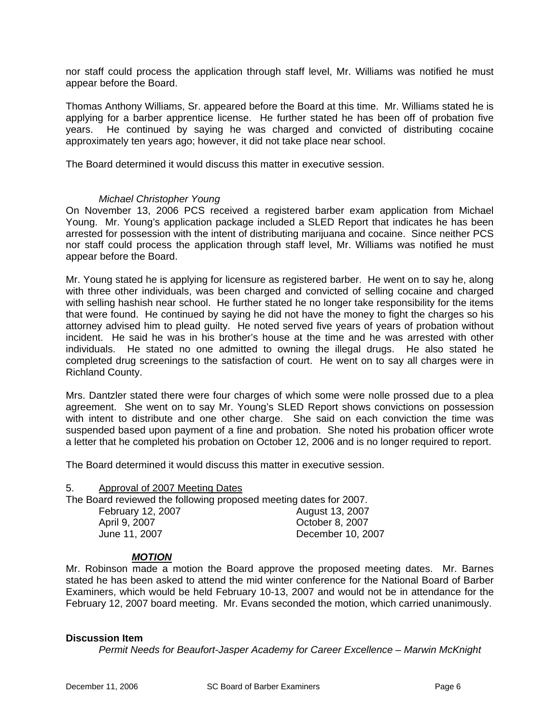nor staff could process the application through staff level, Mr. Williams was notified he must appear before the Board.

Thomas Anthony Williams, Sr. appeared before the Board at this time. Mr. Williams stated he is applying for a barber apprentice license. He further stated he has been off of probation five years. He continued by saying he was charged and convicted of distributing cocaine approximately ten years ago; however, it did not take place near school.

The Board determined it would discuss this matter in executive session.

#### *Michael Christopher Young*

On November 13, 2006 PCS received a registered barber exam application from Michael Young. Mr. Young's application package included a SLED Report that indicates he has been arrested for possession with the intent of distributing marijuana and cocaine. Since neither PCS nor staff could process the application through staff level, Mr. Williams was notified he must appear before the Board.

Mr. Young stated he is applying for licensure as registered barber. He went on to say he, along with three other individuals, was been charged and convicted of selling cocaine and charged with selling hashish near school. He further stated he no longer take responsibility for the items that were found. He continued by saying he did not have the money to fight the charges so his attorney advised him to plead guilty. He noted served five years of years of probation without incident. He said he was in his brother's house at the time and he was arrested with other individuals. He stated no one admitted to owning the illegal drugs. He also stated he completed drug screenings to the satisfaction of court. He went on to say all charges were in Richland County.

Mrs. Dantzler stated there were four charges of which some were nolle prossed due to a plea agreement. She went on to say Mr. Young's SLED Report shows convictions on possession with intent to distribute and one other charge. She said on each conviction the time was suspended based upon payment of a fine and probation. She noted his probation officer wrote a letter that he completed his probation on October 12, 2006 and is no longer required to report.

The Board determined it would discuss this matter in executive session.

| Approval of 2007 Meeting Dates<br>5.                              |                   |
|-------------------------------------------------------------------|-------------------|
| The Board reviewed the following proposed meeting dates for 2007. |                   |
| February 12, 2007                                                 | August 13, 2007   |
| April 9, 2007                                                     | October 8, 2007   |
| June 11, 2007                                                     | December 10, 2007 |

#### *MOTION*

Mr. Robinson made a motion the Board approve the proposed meeting dates. Mr. Barnes stated he has been asked to attend the mid winter conference for the National Board of Barber Examiners, which would be held February 10-13, 2007 and would not be in attendance for the February 12, 2007 board meeting. Mr. Evans seconded the motion, which carried unanimously.

#### **Discussion Item**

*Permit Needs for Beaufort-Jasper Academy for Career Excellence – Marwin McKnight*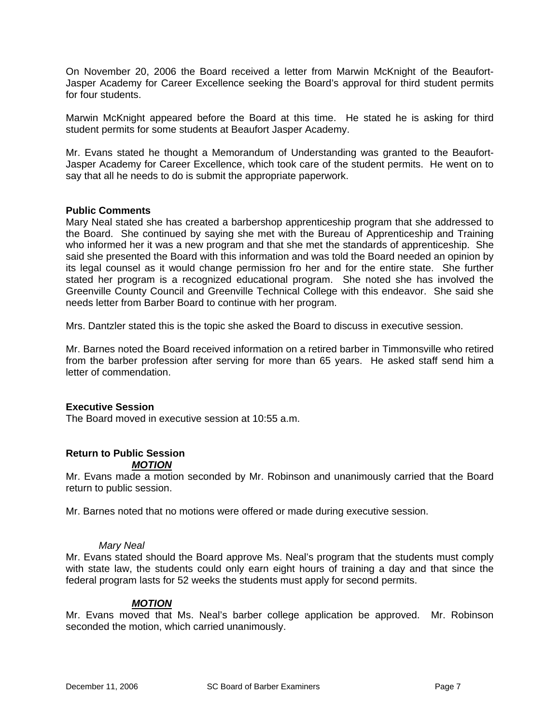On November 20, 2006 the Board received a letter from Marwin McKnight of the Beaufort-Jasper Academy for Career Excellence seeking the Board's approval for third student permits for four students.

Marwin McKnight appeared before the Board at this time. He stated he is asking for third student permits for some students at Beaufort Jasper Academy.

Mr. Evans stated he thought a Memorandum of Understanding was granted to the Beaufort-Jasper Academy for Career Excellence, which took care of the student permits. He went on to say that all he needs to do is submit the appropriate paperwork.

#### **Public Comments**

Mary Neal stated she has created a barbershop apprenticeship program that she addressed to the Board. She continued by saying she met with the Bureau of Apprenticeship and Training who informed her it was a new program and that she met the standards of apprenticeship. She said she presented the Board with this information and was told the Board needed an opinion by its legal counsel as it would change permission fro her and for the entire state. She further stated her program is a recognized educational program. She noted she has involved the Greenville County Council and Greenville Technical College with this endeavor. She said she needs letter from Barber Board to continue with her program.

Mrs. Dantzler stated this is the topic she asked the Board to discuss in executive session.

Mr. Barnes noted the Board received information on a retired barber in Timmonsville who retired from the barber profession after serving for more than 65 years. He asked staff send him a letter of commendation.

#### **Executive Session**

The Board moved in executive session at 10:55 a.m.

#### **Return to Public Session**  *MOTION*

Mr. Evans made a motion seconded by Mr. Robinson and unanimously carried that the Board return to public session.

Mr. Barnes noted that no motions were offered or made during executive session.

#### *Mary Neal*

Mr. Evans stated should the Board approve Ms. Neal's program that the students must comply with state law, the students could only earn eight hours of training a day and that since the federal program lasts for 52 weeks the students must apply for second permits.

#### *MOTION*

Mr. Evans moved that Ms. Neal's barber college application be approved. Mr. Robinson seconded the motion, which carried unanimously.